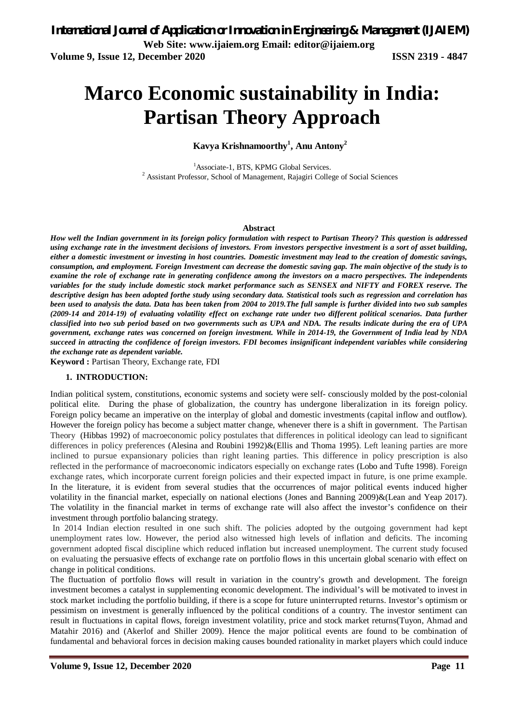# **Marco Economic sustainability in India: Partisan Theory Approach**

**Kavya Krishnamoorthy<sup>1</sup> , Anu Antony<sup>2</sup>**

<sup>1</sup>Associate-1, BTS, KPMG Global Services. <sup>2</sup> Assistant Professor, School of Management, Rajagiri College of Social Sciences

#### **Abstract**

*How well the Indian government in its foreign policy formulation with respect to Partisan Theory? This question is addressed using exchange rate in the investment decisions of investors. From investors perspective investment is a sort of asset building, either a domestic investment or investing in host countries. Domestic investment may lead to the creation of domestic savings, consumption, and employment. Foreign Investment can decrease the domestic saving gap. The main objective of the study is to examine the role of exchange rate in generating confidence among the investors on a macro perspectives. The independents variables for the study include domestic stock market performance such as SENSEX and NIFTY and FOREX reserve. The descriptive design has been adopted forthe study using secondary data. Statistical tools such as regression and correlation has been used to analysis the data. Data has been taken from 2004 to 2019.The full sample is further divided into two sub samples (2009-14 and 2014-19) of evaluating volatility effect on exchange rate under two different political scenarios. Data further classified into two sub period based on two governments such as UPA and NDA. The results indicate during the era of UPA government, exchange rates was concerned on foreign investment. While in 2014-19, the Government of India lead by NDA succeed in attracting the confidence of foreign investors. FDI becomes insignificant independent variables while considering the exchange rate as dependent variable.* 

**Keyword :** Partisan Theory, Exchange rate, FDI

#### **1. INTRODUCTION:**

Indian political system, constitutions, economic systems and society were self- consciously molded by the post-colonial political elite. During the phase of globalization, the country has undergone liberalization in its foreign policy. Foreign policy became an imperative on the interplay of global and domestic investments (capital inflow and outflow). However the foreign policy has become a subject matter change, whenever there is a shift in government. The Partisan Theory (Hibbas 1992) of macroeconomic policy postulates that differences in political ideology can lead to significant differences in policy preferences (Alesina and Roubini 1992)&(Ellis and Thoma 1995). Left leaning parties are more inclined to pursue expansionary policies than right leaning parties. This difference in policy prescription is also reflected in the performance of macroeconomic indicators especially on exchange rates (Lobo and Tufte 1998). Foreign exchange rates, which incorporate current foreign policies and their expected impact in future, is one prime example. In the literature, it is evident from several studies that the occurrences of major political events induced higher volatility in the financial market, especially on national elections (Jones and Banning 2009)&(Lean and Yeap 2017). The volatility in the financial market in terms of exchange rate will also affect the investor's confidence on their investment through portfolio balancing strategy.

In 2014 Indian election resulted in one such shift. The policies adopted by the outgoing government had kept unemployment rates low. However, the period also witnessed high levels of inflation and deficits. The incoming government adopted fiscal discipline which reduced inflation but increased unemployment. The current study focused on evaluating the persuasive effects of exchange rate on portfolio flows in this uncertain global scenario with effect on change in political conditions.

The fluctuation of portfolio flows will result in variation in the country's growth and development. The foreign investment becomes a catalyst in supplementing economic development. The individual's will be motivated to invest in stock market including the portfolio building, if there is a scope for future uninterrupted returns. Investor's optimism or pessimism on investment is generally influenced by the political conditions of a country. The investor sentiment can result in fluctuations in capital flows, foreign investment volatility, price and stock market returns(Tuyon, Ahmad and Matahir 2016) and (Akerlof and Shiller 2009). Hence the major political events are found to be combination of fundamental and behavioral forces in decision making causes bounded rationality in market players which could induce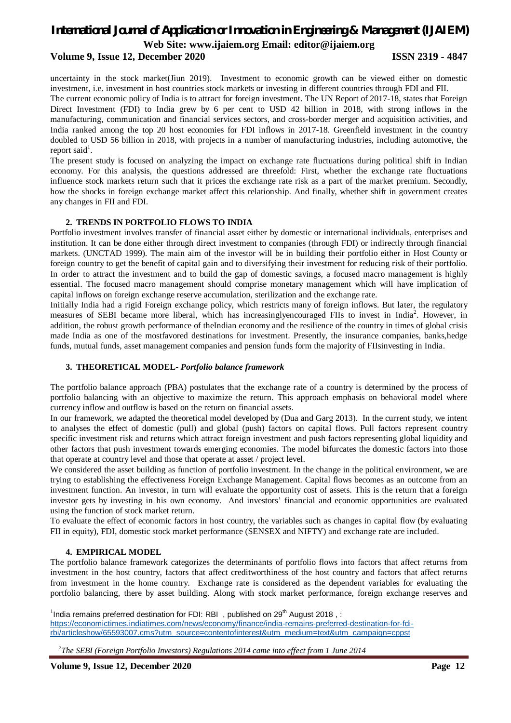#### **Volume 9, Issue 12, December 2020 ISSN 2319 - 4847**

uncertainty in the stock market(Jiun 2019). Investment to economic growth can be viewed either on domestic investment, i.e. investment in host countries stock markets or investing in different countries through FDI and FII.

The current economic policy of India is to attract for foreign investment. The UN Report of 2017-18, states that Foreign Direct Investment (FDI) to India grew by 6 per cent to USD 42 billion in 2018, with strong inflows in the manufacturing, communication and financial services sectors, and cross-border merger and acquisition activities, and India ranked among the top 20 host economies for FDI inflows in 2017-18. Greenfield investment in the country doubled to USD 56 billion in 2018, with projects in a number of manufacturing industries, including automotive, the report said<sup>1</sup>.

The present study is focused on analyzing the impact on exchange rate fluctuations during political shift in Indian economy. For this analysis, the questions addressed are threefold: First, whether the exchange rate fluctuations influence stock markets return such that it prices the exchange rate risk as a part of the market premium. Secondly, how the shocks in foreign exchange market affect this relationship. And finally, whether shift in government creates any changes in FII and FDI.

#### **2. TRENDS IN PORTFOLIO FLOWS TO INDIA**

Portfolio investment involves transfer of financial asset either by domestic or international individuals, enterprises and institution. It can be done either through direct investment to companies (through FDI) or indirectly through financial markets. (UNCTAD 1999). The main aim of the investor will be in building their portfolio either in Host County or foreign country to get the benefit of capital gain and to diversifying their investment for reducing risk of their portfolio. In order to attract the investment and to build the gap of domestic savings, a focused macro management is highly essential. The focused macro management should comprise monetary management which will have implication of capital inflows on foreign exchange reserve accumulation, sterilization and the exchange rate.

Initially India had a rigid Foreign exchange policy, which restricts many of foreign inflows. But later, the regulatory measures of SEBI became more liberal, which has increasinglyencouraged FIIs to invest in India<sup>2</sup>. However, in addition, the robust growth performance of theIndian economy and the resilience of the country in times of global crisis made India as one of the mostfavored destinations for investment. Presently, the insurance companies, banks,hedge funds, mutual funds, asset management companies and pension funds form the majority of FIIsinvesting in India.

#### **3. THEORETICAL MODEL-** *Portfolio balance framework*

The portfolio balance approach (PBA) postulates that the exchange rate of a country is determined by the process of portfolio balancing with an objective to maximize the return. This approach emphasis on behavioral model where currency inflow and outflow is based on the return on financial assets.

In our framework, we adapted the theoretical model developed by (Dua and Garg 2013). In the current study, we intent to analyses the effect of domestic (pull) and global (push) factors on capital flows. Pull factors represent country specific investment risk and returns which attract foreign investment and push factors representing global liquidity and other factors that push investment towards emerging economies. The model bifurcates the domestic factors into those that operate at country level and those that operate at asset / project level.

We considered the asset building as function of portfolio investment. In the change in the political environment, we are trying to establishing the effectiveness Foreign Exchange Management. Capital flows becomes as an outcome from an investment function. An investor, in turn will evaluate the opportunity cost of assets. This is the return that a foreign investor gets by investing in his own economy. And investors' financial and economic opportunities are evaluated using the function of stock market return.

To evaluate the effect of economic factors in host country, the variables such as changes in capital flow (by evaluating FII in equity), FDI, domestic stock market performance (SENSEX and NIFTY) and exchange rate are included.

#### **4. EMPIRICAL MODEL**

The portfolio balance framework categorizes the determinants of portfolio flows into factors that affect returns from investment in the host country, factors that affect creditworthiness of the host country and factors that affect returns from investment in the home country. Exchange rate is considered as the dependent variables for evaluating the portfolio balancing, there by asset building. Along with stock market performance, foreign exchange reserves and

<sup>1</sup>India remains preferred destination for FDI: RBI , published on 29<sup>th</sup> August 2018, : https://economictimes.indiatimes.com/news/economy/finance/india-remains-preferred-destination-for-fdirbi/articleshow/65593007.cms?utm\_source=contentofinterest&utm\_medium=text&utm\_campaign=cppst

<sup>2</sup> *The SEBI (Foreign Portfolio Investors) Regulations 2014 came into effect from 1 June 2014*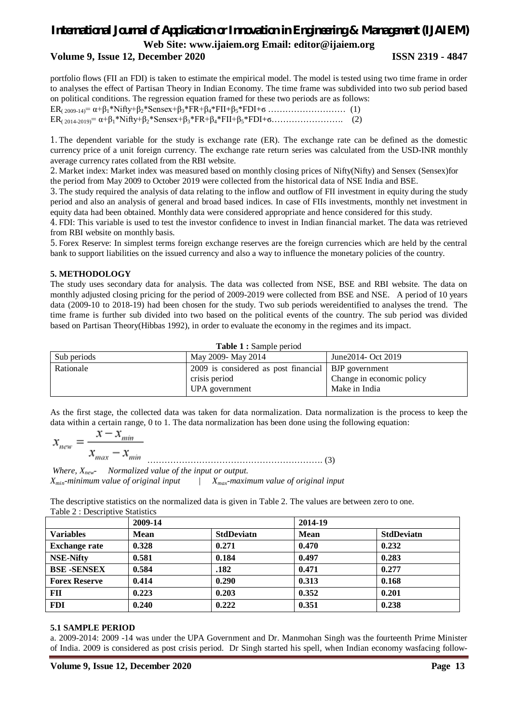# *International Journal of Application or Innovation in Engineering & Management (IJAIEM)*

**Web Site: www.ijaiem.org Email: editor@ijaiem.org**

#### **Volume 9, Issue 12, December 2020 ISSN 2319 - 4847**

portfolio flows (FII an FDI) is taken to estimate the empirical model. The model is tested using two time frame in order to analyses the effect of Partisan Theory in Indian Economy. The time frame was subdivided into two sub period based on political conditions. The regression equation framed for these two periods are as follows:

|  | $ER_{(2009-14)} = \alpha + \beta_1 * \text{Nifty} + \beta_2 * \text{Sensex} + \beta_3 * FR + \beta_4 * FH + \beta_5 * FDI + \sigma \dots \dots \dots \dots \dots \dots \dots \dots \dots \tag{1}$ |  |
|--|---------------------------------------------------------------------------------------------------------------------------------------------------------------------------------------------------|--|
|  | $ER_{(2014-2019)} = \alpha + \beta_1 * Nifty + \beta_2 * Sensex + \beta_3 * FR + \beta_4 * FII + \beta_5 * FDI + \sigma \dots \dots \dots \dots \dots \dots \tag{2}$                              |  |

1. The dependent variable for the study is exchange rate (ER). The exchange rate can be defined as the domestic currency price of a unit foreign currency. The exchange rate return series was calculated from the USD-INR monthly average currency rates collated from the RBI website.

2. Market index: Market index was measured based on monthly closing prices of Nifty(Nifty) and Sensex (Sensex)for the period from May 2009 to October 2019 were collected from the historical data of NSE India and BSE.

3. The study required the analysis of data relating to the inflow and outflow of FII investment in equity during the study period and also an analysis of general and broad based indices. In case of FIIs investments, monthly net investment in equity data had been obtained. Monthly data were considered appropriate and hence considered for this study.

4. FDI: This variable is used to test the investor confidence to invest in Indian financial market. The data was retrieved from RBI website on monthly basis.

5. Forex Reserve: In simplest terms foreign exchange reserves are the foreign currencies which are held by the central bank to support liabilities on the issued currency and also a way to influence the monetary policies of the country.

#### **5. METHODOLOGY**

The study uses secondary data for analysis. The data was collected from NSE, BSE and RBI website. The data on monthly adjusted closing pricing for the period of 2009-2019 were collected from BSE and NSE. A period of 10 years data (2009-10 to 2018-19) had been chosen for the study. Two sub periods wereidentified to analyses the trend. The time frame is further sub divided into two based on the political events of the country. The sub period was divided based on Partisan Theory(Hibbas 1992), in order to evaluate the economy in the regimes and its impact.

|  | Table 1 : Sample period |  |
|--|-------------------------|--|
|--|-------------------------|--|

| Sub periods | May 2009- May 2014                                    | June 2014 - Oct 2019      |
|-------------|-------------------------------------------------------|---------------------------|
| Rationale   | 2009 is considered as post financial   BJP government |                           |
|             | crisis period                                         | Change in economic policy |
|             | UPA government                                        | Make in India             |

As the first stage, the collected data was taken for data normalization. Data normalization is the process to keep the data within a certain range, 0 to 1. The data normalization has been done using the following equation:

$$
x_{new} = \frac{x - x_{min}}{x_{max} - x_{min}}
$$

……………………………………………………. (3)

*Where, Xnew- Normalized value of the input or output. Xmin-minimum value of original input | Xmax-maximum value of original input*

The descriptive statistics on the normalized data is given in Table 2. The values are between zero to one. Table 2 : Descriptive Statistics

|                      | 2009-14     |                   | 2014-19     |                   |
|----------------------|-------------|-------------------|-------------|-------------------|
| <b>Variables</b>     | <b>Mean</b> | <b>StdDeviatn</b> | <b>Mean</b> | <b>StdDeviatn</b> |
| <b>Exchange rate</b> | 0.328       | 0.271             | 0.470       | 0.232             |
| <b>NSE-Nifty</b>     | 0.581       | 0.184             | 0.497       | 0.283             |
| <b>BSE-SENSEX</b>    | 0.584       | .182              | 0.471       | 0.277             |
| <b>Forex Reserve</b> | 0.414       | 0.290             | 0.313       | 0.168             |
| <b>FII</b>           | 0.223       | 0.203             | 0.352       | 0.201             |
| <b>FDI</b>           | 0.240       | 0.222             | 0.351       | 0.238             |

#### **5.1 SAMPLE PERIOD**

a. 2009-2014: 2009 -14 was under the UPA Government and Dr. Manmohan Singh was the fourteenth Prime Minister of India. 2009 is considered as post crisis period. Dr Singh started his spell, when Indian economy wasfacing follow-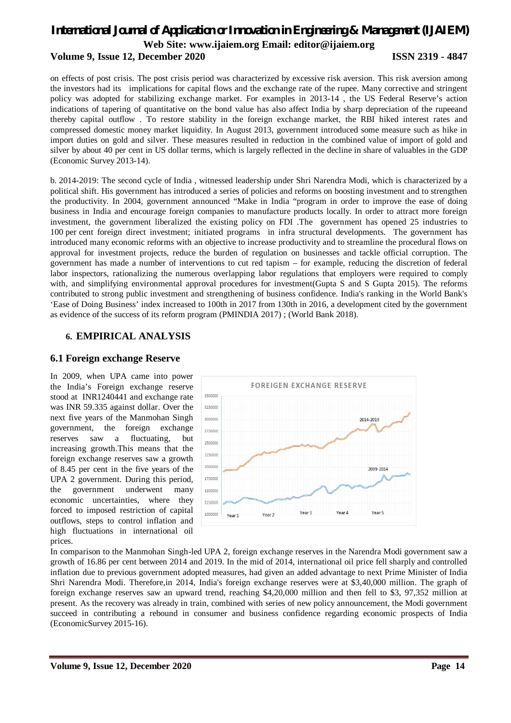### **Volume 9, Issue 12, December 2020 ISSN 2319 - 4847**

on effects of post crisis. The post crisis period was characterized by excessive risk aversion. This risk aversion among the investors had its implications for capital flows and the exchange rate of the rupee. Many corrective and stringent policy was adopted for stabilizing exchange market. For examples in 2013-14 , the US Federal Reserve's action indications of tapering of quantitative on the bond value has also affect India by sharp depreciation of the rupeeand thereby capital outflow . To restore stability in the foreign exchange market, the RBI hiked interest rates and compressed domestic money market liquidity. In August 2013, government introduced some measure such as hike in import duties on gold and silver. These measures resulted in reduction in the combined value of import of gold and silver by about 40 per cent in US dollar terms, which is largely reflected in the decline in share of valuables in the GDP (Economic Survey 2013-14).

b. 2014-2019: The second cycle of India , witnessed leadership under Shri Narendra Modi, which is characterized by a political shift. His government has introduced a series of policies and reforms on boosting investment and to strengthen the productivity. In 2004, government announced "Make in India "program in order to improve the ease of doing business in India and encourage foreign companies to manufacture products locally. In order to attract more foreign investment, the government liberalized the existing policy on FDI .The government has opened 25 industries to 100 per cent foreign direct investment; initiated programs in infra structural developments. The government has introduced many economic reforms with an objective to increase productivity and to streamline the procedural flows on approval for investment projects, reduce the burden of regulation on businesses and tackle official corruption. The government has made a number of interventions to cut red tapism – for example, reducing the discretion of federal labor inspectors, rationalizing the numerous overlapping labor regulations that employers were required to comply with, and simplifying environmental approval procedures for investment(Gupta S and S Gupta 2015). The reforms contributed to strong public investment and strengthening of business confidence. India's ranking in the World Bank's 'Ease of Doing Business' index increased to 100th in 2017 from 130th in 2016, a development cited by the government as evidence of the success of its reform program (PMINDIA 2017) ; (World Bank 2018).

#### **6. EMPIRICAL ANALYSIS**

#### **6.1 Foreign exchange Reserve**

In 2009, when UPA came into power the India's Foreign exchange reserve stood at INR1240441 and exchange rate was INR 59.335 against dollar. Over the next five years of the Manmohan Singh government, the foreign exchange reserves saw a fluctuating, but increasing growth.This means that the foreign exchange reserves saw a growth of 8.45 per cent in the five years of the UPA 2 government. During this period, the government underwent many economic uncertainties, where they forced to imposed restriction of capital outflows, steps to control inflation and high fluctuations in international oil prices.



In comparison to the Manmohan Singh-led UPA 2, foreign exchange reserves in the Narendra Modi government saw a growth of 16.86 per cent between 2014 and 2019. In the mid of 2014, international oil price fell sharply and controlled inflation due to previous government adopted measures, had given an added advantage to next Prime Minister of India Shri Narendra Modi. Therefore,in 2014, India's foreign exchange reserves were at \$3,40,000 million. The graph of foreign exchange reserves saw an upward trend, reaching \$4,20,000 million and then fell to \$3, 97,352 million at present. As the recovery was already in train, combined with series of new policy announcement, the Modi government succeed in contributing a rebound in consumer and business confidence regarding economic prospects of India (EconomicSurvey 2015-16).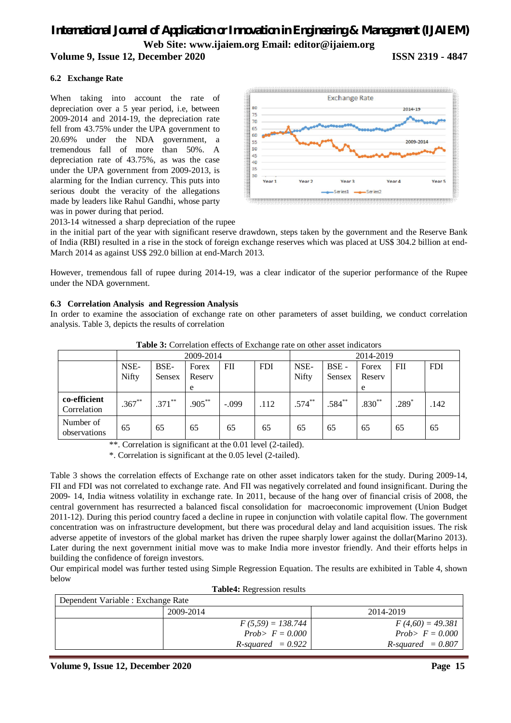**Volume 9, Issue 12, December 2020 ISSN 2319 - 4847**

#### **6.2 Exchange Rate**

When taking into account the rate of depreciation over a 5 year period, i.e, between 2009-2014 and 2014-19, the depreciation rate fell from 43.75% under the UPA government to 20.69% under the NDA government, a tremendous fall of more than 50%. A depreciation rate of 43.75%, as was the case under the UPA government from 2009-2013, is alarming for the Indian currency. This puts into serious doubt the veracity of the allegations made by leaders like Rahul Gandhi, whose party was in power during that period.



2013-14 witnessed a sharp depreciation of the rupee

in the initial part of the year with significant reserve drawdown, steps taken by the government and the Reserve Bank of India (RBI) resulted in a rise in the stock of foreign exchange reserves which was placed at US\$ 304.2 billion at end-March 2014 as against US\$ 292.0 billion at end-March 2013.

However, tremendous fall of rupee during 2014-19, was a clear indicator of the superior performance of the Rupee under the NDA government.

#### **6.3 Correlation Analysis and Regression Analysis**

In order to examine the association of exchange rate on other parameters of asset building, we conduct correlation analysis. Table 3, depicts the results of correlation

|                             |                      |                |                      |         | $\sqrt{2}$ |                      |                   |                      |         |            |
|-----------------------------|----------------------|----------------|----------------------|---------|------------|----------------------|-------------------|----------------------|---------|------------|
|                             | 2009-2014            |                |                      |         | 2014-2019  |                      |                   |                      |         |            |
|                             | NSE-<br><b>Nifty</b> | BSE-<br>Sensex | Forex<br>Reserv<br>e | FII     | <b>FDI</b> | NSE-<br><b>Nifty</b> | $BSE -$<br>Sensex | Forex<br>Reserv<br>e | FII     | <b>FDI</b> |
| co-efficient<br>Correlation | $.367**$             | $.371$ **      | $.905***$            | $-.099$ | .112       | $.574***$            | $.584***$         | $.830**$             | $.289*$ | .142       |
| Number of<br>observations   | 65                   | 65             | 65                   | 65      | 65         | 65                   | 65                | 65                   | 65      | 65         |

**Table 3:** Correlation effects of Exchange rate on other asset indicators

\*\*. Correlation is significant at the 0.01 level (2-tailed).

\*. Correlation is significant at the 0.05 level (2-tailed).

Table 3 shows the correlation effects of Exchange rate on other asset indicators taken for the study. During 2009-14, FII and FDI was not correlated to exchange rate. And FII was negatively correlated and found insignificant. During the 2009- 14, India witness volatility in exchange rate. In 2011, because of the hang over of financial crisis of 2008, the central government has resurrected a balanced fiscal consolidation for macroeconomic improvement (Union Budget 2011-12). During this period country faced a decline in rupee in conjunction with volatile capital flow. The government concentration was on infrastructure development, but there was procedural delay and land acquisition issues. The risk adverse appetite of investors of the global market has driven the rupee sharply lower against the dollar(Marino 2013). Later during the next government initial move was to make India more investor friendly. And their efforts helps in building the confidence of foreign investors.

Our empirical model was further tested using Simple Regression Equation. The results are exhibited in Table 4, shown below

| <b>Table4:</b> Regression results |  |
|-----------------------------------|--|
|                                   |  |

| Dependent Variable : Exchange Rate |                             |  |  |  |  |  |
|------------------------------------|-----------------------------|--|--|--|--|--|
| 2009-2014                          | 2014-2019                   |  |  |  |  |  |
| $F(5,59) = 138.744$                | $F(4,60) = 49.381$          |  |  |  |  |  |
| <i>Prob&gt;</i> $F = 0.000$        | <i>Prob&gt;</i> $F = 0.000$ |  |  |  |  |  |
| $R$ -squared $= 0.922$             | $R$ -squared $= 0.807$      |  |  |  |  |  |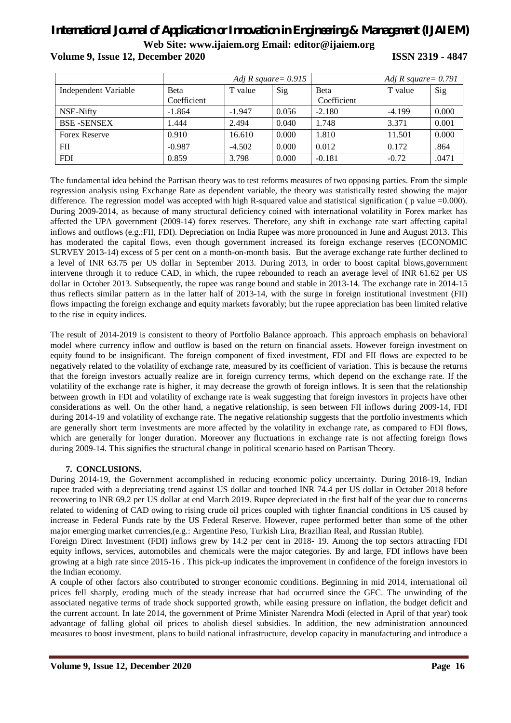**Volume 9, Issue 12, December 2020 ISSN 2319 - 4847**

|                      | Adj R square = $0.915$ |          |       | Adj R square = $0.791$ |          |       |
|----------------------|------------------------|----------|-------|------------------------|----------|-------|
| Independent Variable | <b>B</b> eta           | T value  | Sig   | <b>B</b> eta           | T value  | Sig   |
|                      | Coefficient            |          |       | Coefficient            |          |       |
| NSE-Nifty            | $-1.864$               | $-1.947$ | 0.056 | $-2.180$               | $-4.199$ | 0.000 |
| <b>BSE-SENSEX</b>    | 1.444                  | 2.494    | 0.040 | 1.748                  | 3.371    | 0.001 |
| <b>Forex Reserve</b> | 0.910                  | 16.610   | 0.000 | 1.810                  | 11.501   | 0.000 |
| FII                  | $-0.987$               | $-4.502$ | 0.000 | 0.012                  | 0.172    | .864  |
| <b>FDI</b>           | 0.859                  | 3.798    | 0.000 | $-0.181$               | $-0.72$  | .0471 |

The fundamental idea behind the Partisan theory was to test reforms measures of two opposing parties. From the simple regression analysis using Exchange Rate as dependent variable, the theory was statistically tested showing the major difference. The regression model was accepted with high R-squared value and statistical signification (p value =0.000). During 2009-2014, as because of many structural deficiency coined with international volatility in Forex market has affected the UPA government (2009-14) forex reserves. Therefore, any shift in exchange rate start affecting capital inflows and outflows (e.g.:FII, FDI). Depreciation on India Rupee was more pronounced in June and August 2013. This has moderated the capital flows, even though government increased its foreign exchange reserves (ECONOMIC SURVEY 2013-14) excess of 5 per cent on a month-on-month basis. But the average exchange rate further declined to a level of INR 63.75 per US dollar in September 2013. During 2013, in order to boost capital blows,government intervene through it to reduce CAD, in which, the rupee rebounded to reach an average level of INR 61.62 per US dollar in October 2013. Subsequently, the rupee was range bound and stable in 2013-14. The exchange rate in 2014-15 thus reflects similar pattern as in the latter half of 2013-14, with the surge in foreign institutional investment (FII) flows impacting the foreign exchange and equity markets favorably; but the rupee appreciation has been limited relative to the rise in equity indices.

The result of 2014-2019 is consistent to theory of Portfolio Balance approach. This approach emphasis on behavioral model where currency inflow and outflow is based on the return on financial assets. However foreign investment on equity found to be insignificant. The foreign component of fixed investment, FDI and FII flows are expected to be negatively related to the volatility of exchange rate, measured by its coefficient of variation. This is because the returns that the foreign investors actually realize are in foreign currency terms, which depend on the exchange rate. If the volatility of the exchange rate is higher, it may decrease the growth of foreign inflows. It is seen that the relationship between growth in FDI and volatility of exchange rate is weak suggesting that foreign investors in projects have other considerations as well. On the other hand, a negative relationship, is seen between FII inflows during 2009-14, FDI during 2014-19 and volatility of exchange rate. The negative relationship suggests that the portfolio investments which are generally short term investments are more affected by the volatility in exchange rate, as compared to FDI flows, which are generally for longer duration. Moreover any fluctuations in exchange rate is not affecting foreign flows during 2009-14. This signifies the structural change in political scenario based on Partisan Theory.

#### **7. CONCLUSIONS.**

During 2014-19, the Government accomplished in reducing economic policy uncertainty. During 2018-19, Indian rupee traded with a depreciating trend against US dollar and touched INR 74.4 per US dollar in October 2018 before recovering to INR 69.2 per US dollar at end March 2019. Rupee depreciated in the first half of the year due to concerns related to widening of CAD owing to rising crude oil prices coupled with tighter financial conditions in US caused by increase in Federal Funds rate by the US Federal Reserve. However, rupee performed better than some of the other major emerging market currencies,(e.g.: Argentine Peso, Turkish Lira, Brazilian Real, and Russian Ruble).

Foreign Direct Investment (FDI) inflows grew by 14.2 per cent in 2018- 19. Among the top sectors attracting FDI equity inflows, services, automobiles and chemicals were the major categories. By and large, FDI inflows have been growing at a high rate since 2015-16 . This pick-up indicates the improvement in confidence of the foreign investors in the Indian economy.

A couple of other factors also contributed to stronger economic conditions. Beginning in mid 2014, international oil prices fell sharply, eroding much of the steady increase that had occurred since the GFC. The unwinding of the associated negative terms of trade shock supported growth, while easing pressure on inflation, the budget deficit and the current account. In late 2014, the government of Prime Minister Narendra Modi (elected in April of that year) took advantage of falling global oil prices to abolish diesel subsidies. In addition, the new administration announced measures to boost investment, plans to build national infrastructure, develop capacity in manufacturing and introduce a